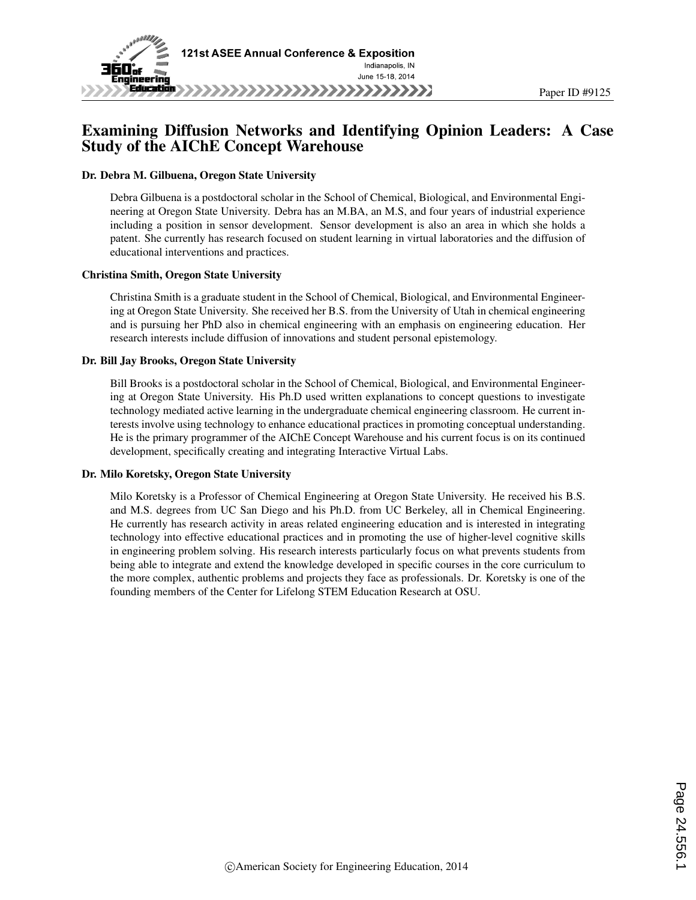

# Examining Diffusion Networks and Identifying Opinion Leaders: A Case Study of the AIChE Concept Warehouse

#### Dr. Debra M. Gilbuena, Oregon State University

Debra Gilbuena is a postdoctoral scholar in the School of Chemical, Biological, and Environmental Engineering at Oregon State University. Debra has an M.BA, an M.S, and four years of industrial experience including a position in sensor development. Sensor development is also an area in which she holds a patent. She currently has research focused on student learning in virtual laboratories and the diffusion of educational interventions and practices.

#### Christina Smith, Oregon State University

Christina Smith is a graduate student in the School of Chemical, Biological, and Environmental Engineering at Oregon State University. She received her B.S. from the University of Utah in chemical engineering and is pursuing her PhD also in chemical engineering with an emphasis on engineering education. Her research interests include diffusion of innovations and student personal epistemology.

#### Dr. Bill Jay Brooks, Oregon State University

Bill Brooks is a postdoctoral scholar in the School of Chemical, Biological, and Environmental Engineering at Oregon State University. His Ph.D used written explanations to concept questions to investigate technology mediated active learning in the undergraduate chemical engineering classroom. He current interests involve using technology to enhance educational practices in promoting conceptual understanding. He is the primary programmer of the AIChE Concept Warehouse and his current focus is on its continued development, specifically creating and integrating Interactive Virtual Labs.

#### Dr. Milo Koretsky, Oregon State University

Milo Koretsky is a Professor of Chemical Engineering at Oregon State University. He received his B.S. and M.S. degrees from UC San Diego and his Ph.D. from UC Berkeley, all in Chemical Engineering. He currently has research activity in areas related engineering education and is interested in integrating technology into effective educational practices and in promoting the use of higher-level cognitive skills in engineering problem solving. His research interests particularly focus on what prevents students from being able to integrate and extend the knowledge developed in specific courses in the core curriculum to the more complex, authentic problems and projects they face as professionals. Dr. Koretsky is one of the founding members of the Center for Lifelong STEM Education Research at OSU.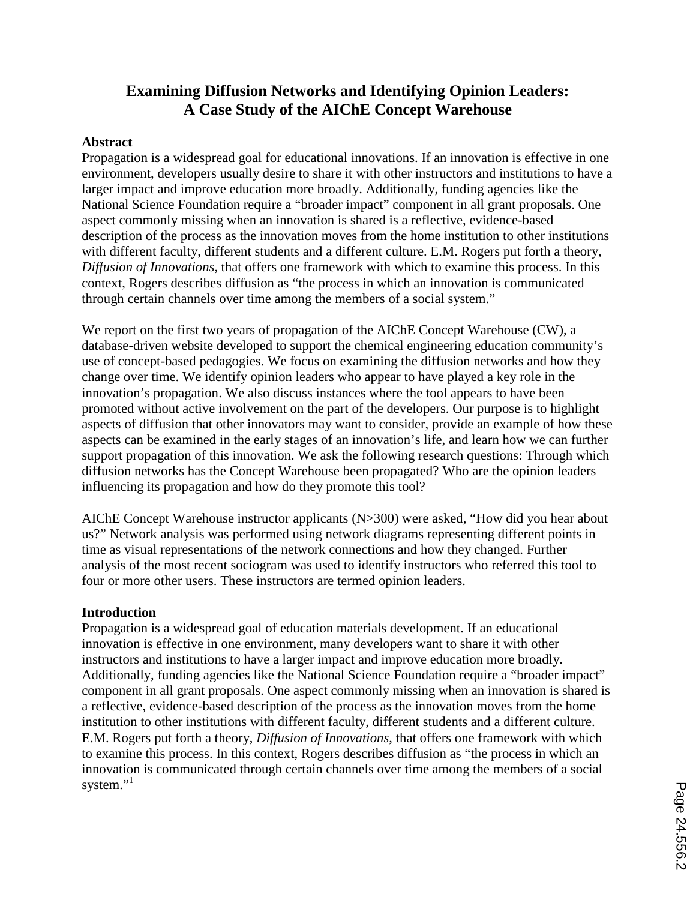# **Examining Diffusion Networks and Identifying Opinion Leaders: A Case Study of the AIChE Concept Warehouse**

### **Abstract**

Propagation is a widespread goal for educational innovations. If an innovation is effective in one environment, developers usually desire to share it with other instructors and institutions to have a larger impact and improve education more broadly. Additionally, funding agencies like the National Science Foundation require a "broader impact" component in all grant proposals. One aspect commonly missing when an innovation is shared is a reflective, evidence-based description of the process as the innovation moves from the home institution to other institutions with different faculty, different students and a different culture. E.M. Rogers put forth a theory, *Diffusion of Innovations*, that offers one framework with which to examine this process. In this context, Rogers describes diffusion as "the process in which an innovation is communicated through certain channels over time among the members of a social system."

We report on the first two years of propagation of the AIChE Concept Warehouse (CW), a database-driven website developed to support the chemical engineering education community's use of concept-based pedagogies. We focus on examining the diffusion networks and how they change over time. We identify opinion leaders who appear to have played a key role in the innovation's propagation. We also discuss instances where the tool appears to have been promoted without active involvement on the part of the developers. Our purpose is to highlight aspects of diffusion that other innovators may want to consider, provide an example of how these aspects can be examined in the early stages of an innovation's life, and learn how we can further support propagation of this innovation. We ask the following research questions: Through which diffusion networks has the Concept Warehouse been propagated? Who are the opinion leaders influencing its propagation and how do they promote this tool?

AIChE Concept Warehouse instructor applicants (N>300) were asked, "How did you hear about us?" Network analysis was performed using network diagrams representing different points in time as visual representations of the network connections and how they changed. Further analysis of the most recent sociogram was used to identify instructors who referred this tool to four or more other users. These instructors are termed opinion leaders.

### **Introduction**

Propagation is a widespread goal of education materials development. If an educational innovation is effective in one environment, many developers want to share it with other instructors and institutions to have a larger impact and improve education more broadly. Additionally, funding agencies like the National Science Foundation require a "broader impact" component in all grant proposals. One aspect commonly missing when an innovation is shared is a reflective, evidence-based description of the process as the innovation moves from the home institution to other institutions with different faculty, different students and a different culture. E.M. Rogers put forth a theory, *Diffusion of Innovations*, that offers one framework with which to examine this process. In this context, Rogers describes diffusion as "the process in which an innovation is communicated through certain channels over time among the members of a social system."<sup>1</sup>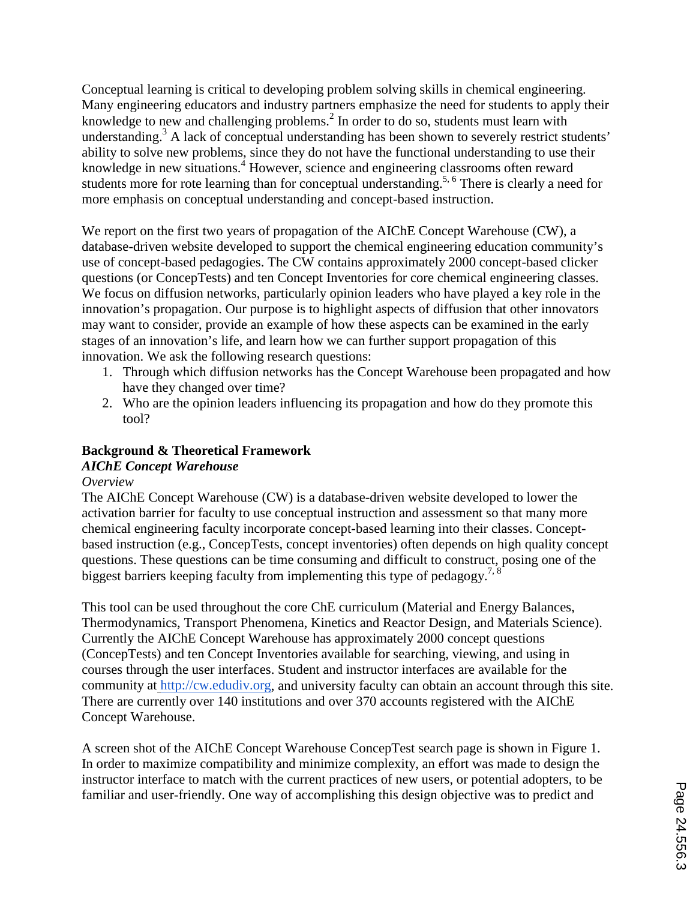Conceptual learning is critical to developing problem solving skills in chemical engineering. Many engineering educators and industry partners emphasize the need for students to apply their knowledge to new and challenging problems.<sup>2</sup> In order to do so, students must learn with understanding.<sup>3</sup> A lack of conceptual understanding has been shown to severely restrict students' ability to solve new problems, since they do not have the functional understanding to use their knowledge in new situations.<sup>4</sup> However, science and engineering classrooms often reward students more for rote learning than for conceptual understanding.<sup>5, 6</sup> There is clearly a need for more emphasis on conceptual understanding and concept-based instruction.

We report on the first two years of propagation of the AIChE Concept Warehouse (CW), a database-driven website developed to support the chemical engineering education community's use of concept-based pedagogies. The CW contains approximately 2000 concept-based clicker questions (or ConcepTests) and ten Concept Inventories for core chemical engineering classes. We focus on diffusion networks, particularly opinion leaders who have played a key role in the innovation's propagation. Our purpose is to highlight aspects of diffusion that other innovators may want to consider, provide an example of how these aspects can be examined in the early stages of an innovation's life, and learn how we can further support propagation of this innovation. We ask the following research questions:

- 1. Through which diffusion networks has the Concept Warehouse been propagated and how have they changed over time?
- 2. Who are the opinion leaders influencing its propagation and how do they promote this tool?

### **Background & Theoretical Framework** *AIChE Concept Warehouse*

# *Overview*

The AIChE Concept Warehouse (CW) is a database-driven website developed to lower the activation barrier for faculty to use conceptual instruction and assessment so that many more chemical engineering faculty incorporate concept-based learning into their classes. Conceptbased instruction (e.g., ConcepTests, concept inventories) often depends on high quality concept questions. These questions can be time consuming and difficult to construct, posing one of the biggest barriers keeping faculty from implementing this type of pedagogy.<sup>7, 8</sup>

This tool can be used throughout the core ChE curriculum (Material and Energy Balances, Thermodynamics, Transport Phenomena, Kinetics and Reactor Design, and Materials Science). Currently the AIChE Concept Warehouse has approximately 2000 concept questions (ConcepTests) and ten Concept Inventories available for searching, viewing, and using in courses through the user interfaces. Student and instructor interfaces are available for the community at http://cw.edudiv.org, and university faculty can obtain an account through this site. There are currently over 140 institutions and over 370 accounts registered with the AIChE Concept Warehouse.

A screen shot of the AIChE Concept Warehouse ConcepTest search page is shown in Figure 1. In order to maximize compatibility and minimize complexity, an effort was made to design the instructor interface to match with the current practices of new users, or potential adopters, to be familiar and user-friendly. One way of accomplishing this design objective was to predict and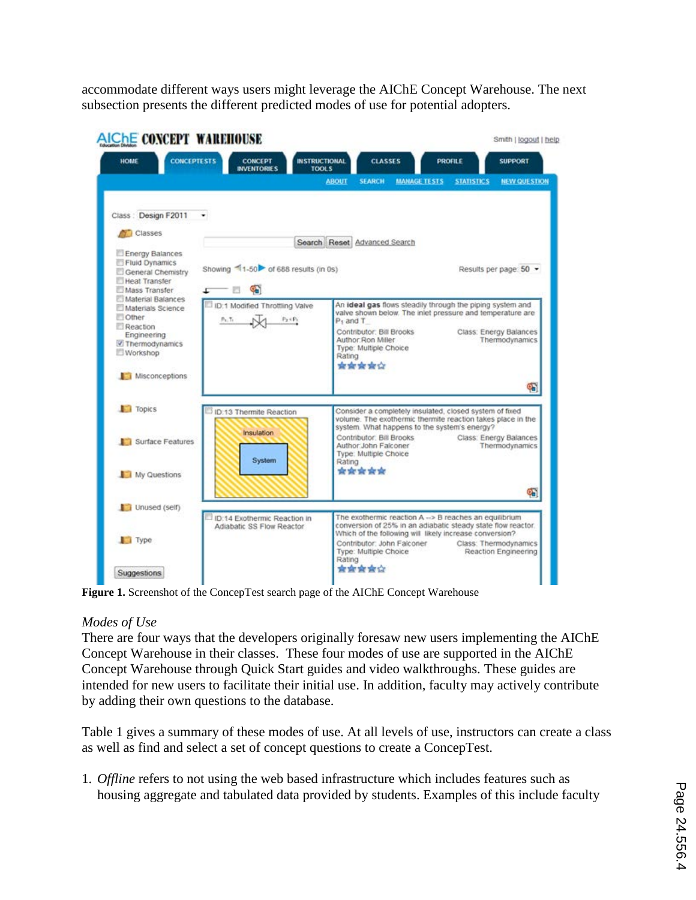accommodate different ways users might leverage the AIChE Concept Warehouse. The next subsection presents the different predicted modes of use for potential adopters.

| <b>AICHE CONCEPT WAREHOUSE</b><br><b>CONCEPTESTS</b><br><b>HOME</b>                                      | <b>CONCEPT</b>                                                | Smith   jogout   help<br><b>INSTRUCTIONAL</b><br><b>CLASSES</b><br><b>PROFILE</b><br><b>SUPPORT</b>                                                                                                                                                                           |
|----------------------------------------------------------------------------------------------------------|---------------------------------------------------------------|-------------------------------------------------------------------------------------------------------------------------------------------------------------------------------------------------------------------------------------------------------------------------------|
|                                                                                                          | <b>INVENTORIES</b>                                            | <b>TOOLS</b><br><b>ABOUT</b><br><b>SEARCH</b><br><b>MANAGE TESTS</b><br><b>STATISTICS</b><br><b>NEW QUESTION</b>                                                                                                                                                              |
| Class: Design F2011                                                                                      | ۰                                                             |                                                                                                                                                                                                                                                                               |
| <b>Classes</b>                                                                                           |                                                               | Search Reset Advanced Search                                                                                                                                                                                                                                                  |
| Energy Balances<br>Fluid Dynamics<br>General Chemistry<br>Heat Transfer<br>Mass Transfer                 | Showing 1-50 of 688 results (in 0s)<br>r                      | Results per page: 50 -                                                                                                                                                                                                                                                        |
| Material Balances<br>Materials Science<br>Cther<br>Reaction<br>Engineering<br>Thermodynamics<br>Workshop | ID:1 Modified Throttling Valve<br>$P_2$ < $P_1$<br>$P_1$ : To | An ideal gas flows steadily through the piping system and<br>valve shown below. The inlet pressure and temperature are<br>$P_1$ and T<br>Contributor: Bill Brooks<br>Class: Energy Balances<br>Author Ron Miller<br>Thermodynamics<br>Type: Multiple Choice<br>Rating<br>会会会会 |
| Misconceptions                                                                                           |                                                               | क                                                                                                                                                                                                                                                                             |
| Topics                                                                                                   | ID:13 Thermite Reaction<br><b>Insulation</b>                  | Consider a completely insulated, closed system of fixed<br>volume. The exothermic thermite reaction takes place in the<br>system. What happens to the system's energy?                                                                                                        |
| Surface Features<br>My Questions                                                                         | <b>System</b>                                                 | Contributor: Bill Brooks<br>Class: Energy Balances<br>Author John Falconer<br>Thermodynamics<br>Type: Multiple Choice<br>Rating<br>*****                                                                                                                                      |
|                                                                                                          |                                                               | Œ                                                                                                                                                                                                                                                                             |
| Unused (self)                                                                                            | ID:14 Exothermic Reaction in<br>Adiabatic SS Flow Reactor     | The exothermic reaction $A \rightarrow B$ reaches an equilibrium<br>conversion of 25% in an adiabatic steady state flow reactor.<br>Which of the following will likely increase conversion?                                                                                   |
| Type<br>Suggestions                                                                                      |                                                               | Contributor: John Falconer<br>Class: Thermodynamics<br>Type: Multiple Choice<br>Reaction Engineering<br>Rating<br>含含含含                                                                                                                                                        |

**Figure 1.** Screenshot of the ConcepTest search page of the AIChE Concept Warehouse

# *Modes of Use*

There are four ways that the developers originally foresaw new users implementing the AIChE Concept Warehouse in their classes. These four modes of use are supported in the AIChE Concept Warehouse through Quick Start guides and video walkthroughs. These guides are intended for new users to facilitate their initial use. In addition, faculty may actively contribute by adding their own questions to the database.

Table 1 gives a summary of these modes of use. At all levels of use, instructors can create a class as well as find and select a set of concept questions to create a ConcepTest.

1. *Offline* refers to not using the web based infrastructure which includes features such as housing aggregate and tabulated data provided by students. Examples of this include faculty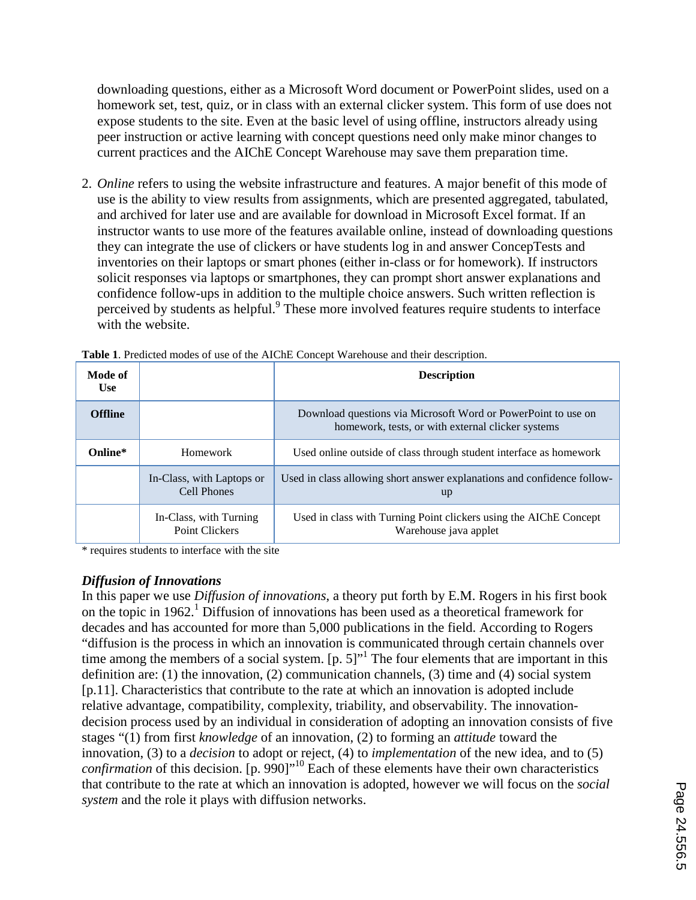downloading questions, either as a Microsoft Word document or PowerPoint slides, used on a homework set, test, quiz, or in class with an external clicker system. This form of use does not expose students to the site. Even at the basic level of using offline, instructors already using peer instruction or active learning with concept questions need only make minor changes to current practices and the AIChE Concept Warehouse may save them preparation time.

2. *Online* refers to using the website infrastructure and features. A major benefit of this mode of use is the ability to view results from assignments, which are presented aggregated, tabulated, and archived for later use and are available for download in Microsoft Excel format. If an instructor wants to use more of the features available online, instead of downloading questions they can integrate the use of clickers or have students log in and answer ConcepTests and inventories on their laptops or smart phones (either in-class or for homework). If instructors solicit responses via laptops or smartphones, they can prompt short answer explanations and confidence follow-ups in addition to the multiple choice answers. Such written reflection is perceived by students as helpful.<sup>9</sup> These more involved features require students to interface with the website.

| Mode of<br>Use |                                          | <b>Description</b>                                                                                                 |
|----------------|------------------------------------------|--------------------------------------------------------------------------------------------------------------------|
| <b>Offline</b> |                                          | Download questions via Microsoft Word or PowerPoint to use on<br>homework, tests, or with external clicker systems |
| Online*        | Homework                                 | Used online outside of class through student interface as homework                                                 |
|                | In-Class, with Laptops or<br>Cell Phones | Used in class allowing short answer explanations and confidence follow-<br>up                                      |
|                | In-Class, with Turning<br>Point Clickers | Used in class with Turning Point clickers using the AIChE Concept<br>Warehouse java applet                         |

**Table 1**. Predicted modes of use of the AIChE Concept Warehouse and their description.

\* requires students to interface with the site

### *Diffusion of Innovations*

In this paper we use *Diffusion of innovations*, a theory put forth by E.M. Rogers in his first book on the topic in  $1962<sup>1</sup>$  Diffusion of innovations has been used as a theoretical framework for decades and has accounted for more than 5,000 publications in the field. According to Rogers "diffusion is the process in which an innovation is communicated through certain channels over time among the members of a social system.  $[p. 5]<sup>{n}</sup>$  The four elements that are important in this definition are: (1) the innovation, (2) communication channels, (3) time and (4) social system [p.11]. Characteristics that contribute to the rate at which an innovation is adopted include relative advantage, compatibility, complexity, triability, and observability. The innovationdecision process used by an individual in consideration of adopting an innovation consists of five stages "(1) from first *knowledge* of an innovation, (2) to forming an *attitude* toward the innovation, (3) to a *decision* to adopt or reject, (4) to *implementation* of the new idea, and to (5) *confirmation* of this decision. [p. 990]<sup>"10</sup> Each of these elements have their own characteristics that contribute to the rate at which an innovation is adopted, however we will focus on the *social system* and the role it plays with diffusion networks.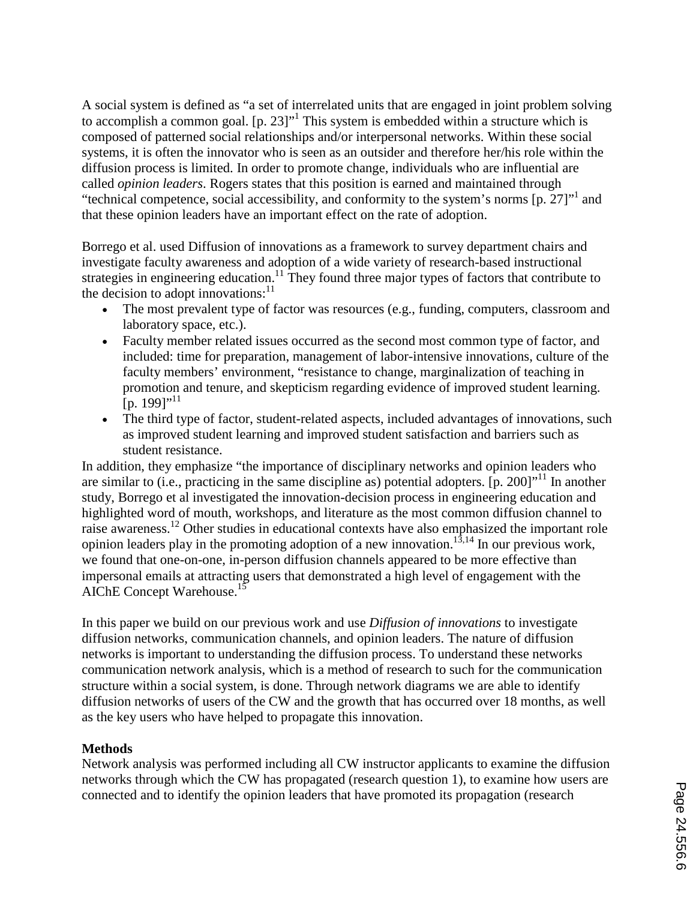A social system is defined as "a set of interrelated units that are engaged in joint problem solving to accomplish a common goal.  $[p. 23]$ <sup>1</sup> This system is embedded within a structure which is composed of patterned social relationships and/or interpersonal networks. Within these social systems, it is often the innovator who is seen as an outsider and therefore her/his role within the diffusion process is limited. In order to promote change, individuals who are influential are called *opinion leaders*. Rogers states that this position is earned and maintained through "technical competence, social accessibility, and conformity to the system's norms  $[p. 27]$ " and that these opinion leaders have an important effect on the rate of adoption.

Borrego et al. used Diffusion of innovations as a framework to survey department chairs and investigate faculty awareness and adoption of a wide variety of research-based instructional strategies in engineering education.<sup>11</sup> They found three major types of factors that contribute to the decision to adopt innovations: $11$ 

- The most prevalent type of factor was resources (e.g., funding, computers, classroom and laboratory space, etc.).
- Faculty member related issues occurred as the second most common type of factor, and included: time for preparation, management of labor-intensive innovations, culture of the faculty members' environment, "resistance to change, marginalization of teaching in promotion and tenure, and skepticism regarding evidence of improved student learning. [p. 199]"<sup>11</sup>
- The third type of factor, student-related aspects, included advantages of innovations, such as improved student learning and improved student satisfaction and barriers such as student resistance.

In addition, they emphasize "the importance of disciplinary networks and opinion leaders who are similar to (i.e., practicing in the same discipline as) potential adopters.  $[p. 200]$ <sup>"11</sup> In another study, Borrego et al investigated the innovation-decision process in engineering education and highlighted word of mouth, workshops, and literature as the most common diffusion channel to raise awareness.<sup>12</sup> Other studies in educational contexts have also emphasized the important role opinion leaders play in the promoting adoption of a new innovation.<sup>13,14</sup> In our previous work, we found that one-on-one, in-person diffusion channels appeared to be more effective than impersonal emails at attracting users that demonstrated a high level of engagement with the AIChE Concept Warehouse.<sup>15</sup>

In this paper we build on our previous work and use *Diffusion of innovations* to investigate diffusion networks, communication channels, and opinion leaders. The nature of diffusion networks is important to understanding the diffusion process. To understand these networks communication network analysis, which is a method of research to such for the communication structure within a social system, is done. Through network diagrams we are able to identify diffusion networks of users of the CW and the growth that has occurred over 18 months, as well as the key users who have helped to propagate this innovation.

# **Methods**

Network analysis was performed including all CW instructor applicants to examine the diffusion networks through which the CW has propagated (research question 1), to examine how users are connected and to identify the opinion leaders that have promoted its propagation (research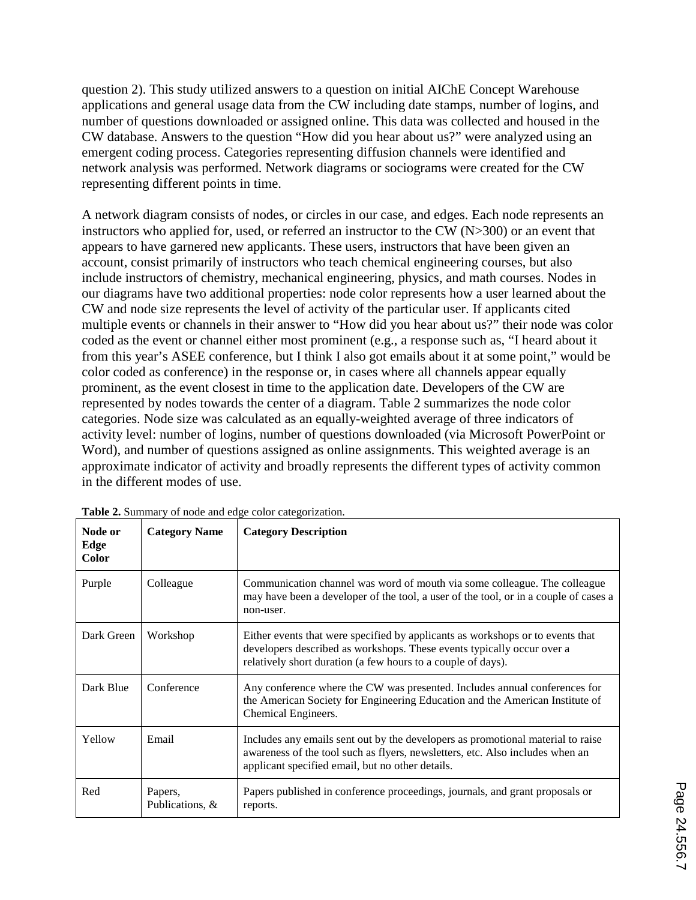question 2). This study utilized answers to a question on initial AIChE Concept Warehouse applications and general usage data from the CW including date stamps, number of logins, and number of questions downloaded or assigned online. This data was collected and housed in the CW database. Answers to the question "How did you hear about us?" were analyzed using an emergent coding process. Categories representing diffusion channels were identified and network analysis was performed. Network diagrams or sociograms were created for the CW representing different points in time.

A network diagram consists of nodes, or circles in our case, and edges. Each node represents an instructors who applied for, used, or referred an instructor to the CW (N>300) or an event that appears to have garnered new applicants. These users, instructors that have been given an account, consist primarily of instructors who teach chemical engineering courses, but also include instructors of chemistry, mechanical engineering, physics, and math courses. Nodes in our diagrams have two additional properties: node color represents how a user learned about the CW and node size represents the level of activity of the particular user. If applicants cited multiple events or channels in their answer to "How did you hear about us?" their node was color coded as the event or channel either most prominent (e.g., a response such as, "I heard about it from this year's ASEE conference, but I think I also got emails about it at some point," would be color coded as conference) in the response or, in cases where all channels appear equally prominent, as the event closest in time to the application date. Developers of the CW are represented by nodes towards the center of a diagram. Table 2 summarizes the node color categories. Node size was calculated as an equally-weighted average of three indicators of activity level: number of logins, number of questions downloaded (via Microsoft PowerPoint or Word), and number of questions assigned as online assignments. This weighted average is an approximate indicator of activity and broadly represents the different types of activity common in the different modes of use.

| Node or<br>Edge<br><b>Color</b> | <b>Category Name</b>       | <b>Category Description</b>                                                                                                                                                                                              |
|---------------------------------|----------------------------|--------------------------------------------------------------------------------------------------------------------------------------------------------------------------------------------------------------------------|
| Purple                          | Colleague                  | Communication channel was word of mouth via some colleague. The colleague<br>may have been a developer of the tool, a user of the tool, or in a couple of cases a<br>non-user.                                           |
| Dark Green                      | Workshop                   | Either events that were specified by applicants as workshops or to events that<br>developers described as workshops. These events typically occur over a<br>relatively short duration (a few hours to a couple of days). |
| Dark Blue                       | Conference                 | Any conference where the CW was presented. Includes annual conferences for<br>the American Society for Engineering Education and the American Institute of<br>Chemical Engineers.                                        |
| Yellow                          | Email                      | Includes any emails sent out by the developers as promotional material to raise<br>awareness of the tool such as flyers, newsletters, etc. Also includes when an<br>applicant specified email, but no other details.     |
| Red                             | Papers,<br>Publications, & | Papers published in conference proceedings, journals, and grant proposals or<br>reports.                                                                                                                                 |

**Table 2.** Summary of node and edge color categorization.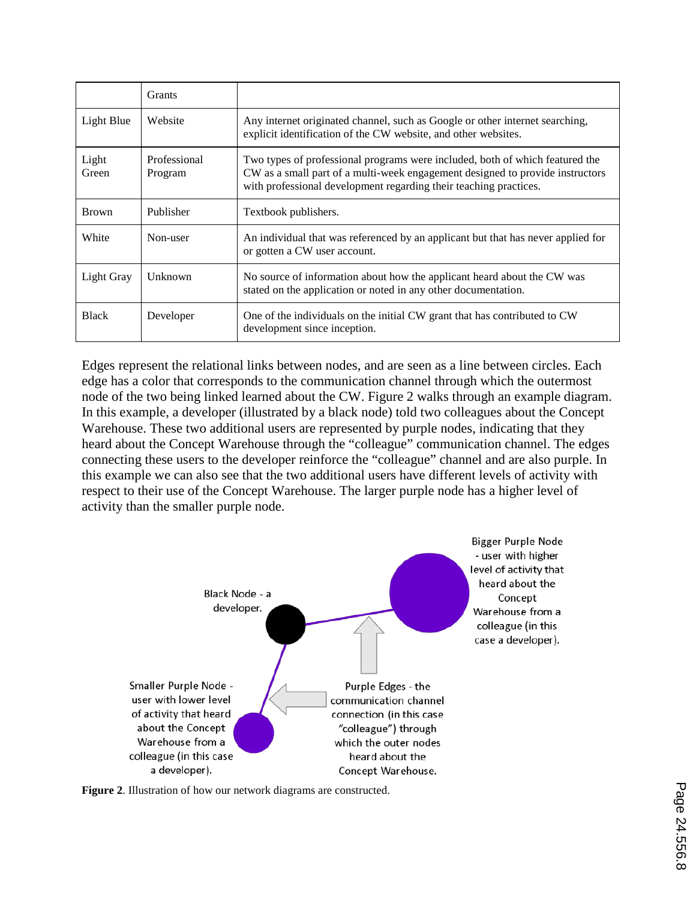|                | <b>Grants</b>           |                                                                                                                                                                                                                                    |
|----------------|-------------------------|------------------------------------------------------------------------------------------------------------------------------------------------------------------------------------------------------------------------------------|
| Light Blue     | Website                 | Any internet originated channel, such as Google or other internet searching,<br>explicit identification of the CW website, and other websites.                                                                                     |
| Light<br>Green | Professional<br>Program | Two types of professional programs were included, both of which featured the<br>CW as a small part of a multi-week engagement designed to provide instructors<br>with professional development regarding their teaching practices. |
| <b>Brown</b>   | Publisher               | Textbook publishers.                                                                                                                                                                                                               |
| White          | Non-user                | An individual that was referenced by an applicant but that has never applied for<br>or gotten a CW user account.                                                                                                                   |
| Light Gray     | Unknown                 | No source of information about how the applicant heard about the CW was<br>stated on the application or noted in any other documentation.                                                                                          |
| <b>Black</b>   | Developer               | One of the individuals on the initial CW grant that has contributed to CW<br>development since inception.                                                                                                                          |

Edges represent the relational links between nodes, and are seen as a line between circles. Each edge has a color that corresponds to the communication channel through which the outermost node of the two being linked learned about the CW. Figure 2 walks through an example diagram. In this example, a developer (illustrated by a black node) told two colleagues about the Concept Warehouse. These two additional users are represented by purple nodes, indicating that they heard about the Concept Warehouse through the "colleague" communication channel. The edges connecting these users to the developer reinforce the "colleague" channel and are also purple. In this example we can also see that the two additional users have different levels of activity with respect to their use of the Concept Warehouse. The larger purple node has a higher level of activity than the smaller purple node.



**Figure 2**. Illustration of how our network diagrams are constructed.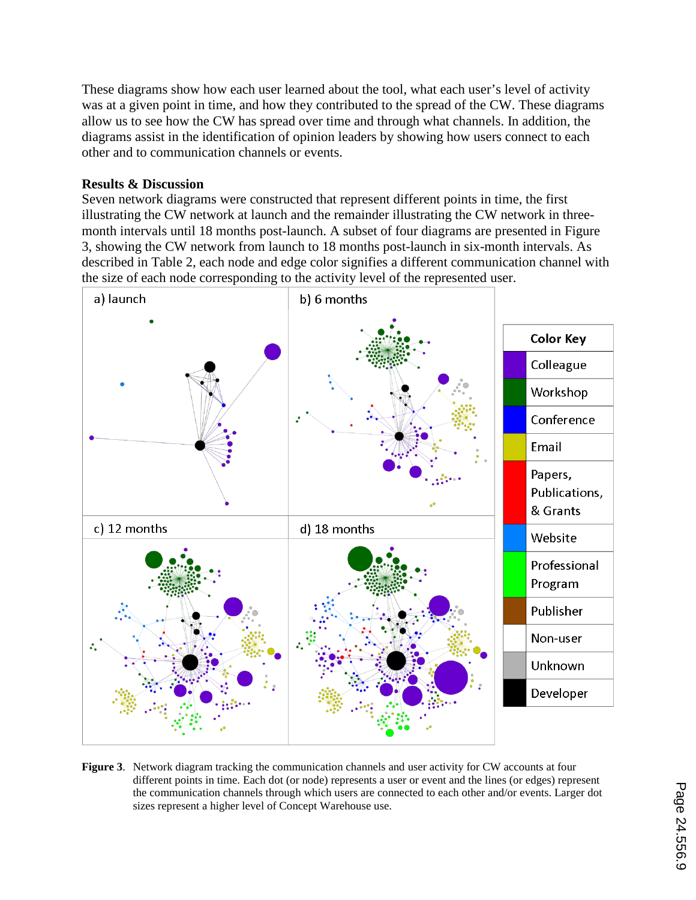These diagrams show how each user learned about the tool, what each user's level of activity was at a given point in time, and how they contributed to the spread of the CW. These diagrams allow us to see how the CW has spread over time and through what channels. In addition, the diagrams assist in the identification of opinion leaders by showing how users connect to each other and to communication channels or events.

# **Results & Discussion**

Seven network diagrams were constructed that represent different points in time, the first illustrating the CW network at launch and the remainder illustrating the CW network in threemonth intervals until 18 months post-launch. A subset of four diagrams are presented in Figure 3, showing the CW network from launch to 18 months post-launch in six-month intervals. As described in Table 2, each node and edge color signifies a different communication channel with the size of each node corresponding to the activity level of the represented user.



**Figure 3**. Network diagram tracking the communication channels and user activity for CW accounts at four different points in time. Each dot (or node) represents a user or event and the lines (or edges) represent the communication channels through which users are connected to each other and/or events. Larger dot sizes represent a higher level of Concept Warehouse use.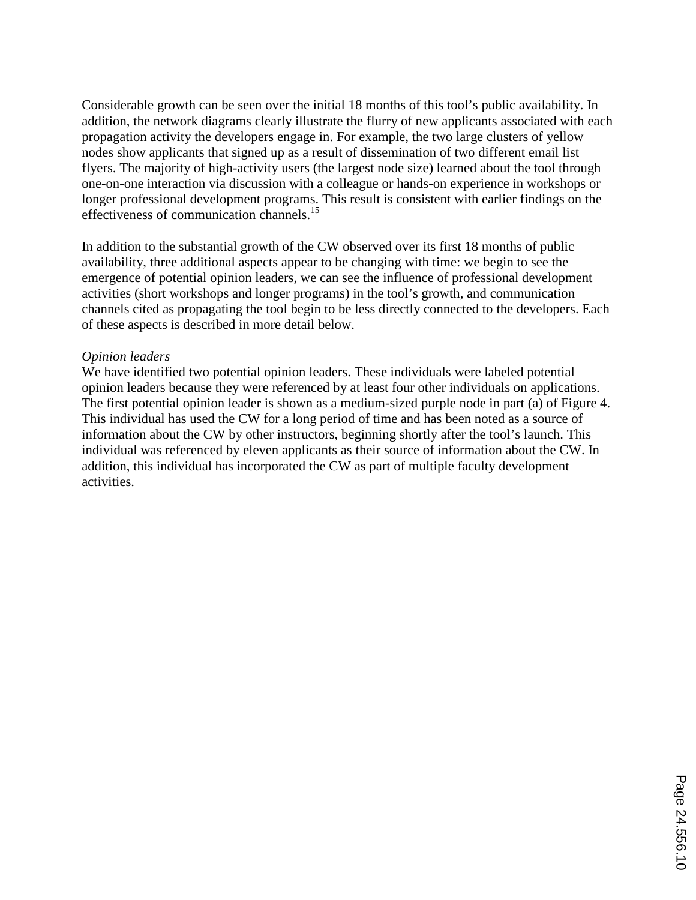Considerable growth can be seen over the initial 18 months of this tool's public availability. In addition, the network diagrams clearly illustrate the flurry of new applicants associated with each propagation activity the developers engage in. For example, the two large clusters of yellow nodes show applicants that signed up as a result of dissemination of two different email list flyers. The majority of high-activity users (the largest node size) learned about the tool through one-on-one interaction via discussion with a colleague or hands-on experience in workshops or longer professional development programs. This result is consistent with earlier findings on the effectiveness of communication channels.<sup>15</sup>

In addition to the substantial growth of the CW observed over its first 18 months of public availability, three additional aspects appear to be changing with time: we begin to see the emergence of potential opinion leaders, we can see the influence of professional development activities (short workshops and longer programs) in the tool's growth, and communication channels cited as propagating the tool begin to be less directly connected to the developers. Each of these aspects is described in more detail below.

### *Opinion leaders*

We have identified two potential opinion leaders. These individuals were labeled potential opinion leaders because they were referenced by at least four other individuals on applications. The first potential opinion leader is shown as a medium-sized purple node in part (a) of Figure 4. This individual has used the CW for a long period of time and has been noted as a source of information about the CW by other instructors, beginning shortly after the tool's launch. This individual was referenced by eleven applicants as their source of information about the CW. In addition, this individual has incorporated the CW as part of multiple faculty development activities.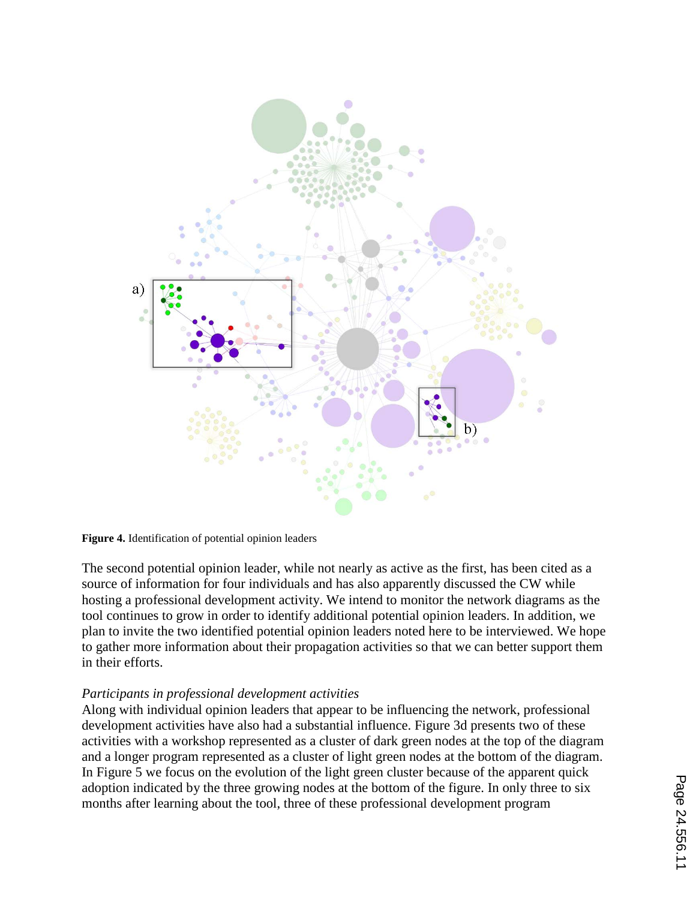

**Figure 4.** Identification of potential opinion leaders

The second potential opinion leader, while not nearly as active as the first, has been cited as a source of information for four individuals and has also apparently discussed the CW while hosting a professional development activity. We intend to monitor the network diagrams as the tool continues to grow in order to identify additional potential opinion leaders. In addition, we plan to invite the two identified potential opinion leaders noted here to be interviewed. We hope to gather more information about their propagation activities so that we can better support them in their efforts.

### *Participants in professional development activities*

Along with individual opinion leaders that appear to be influencing the network, professional development activities have also had a substantial influence. Figure 3d presents two of these activities with a workshop represented as a cluster of dark green nodes at the top of the diagram and a longer program represented as a cluster of light green nodes at the bottom of the diagram. In Figure 5 we focus on the evolution of the light green cluster because of the apparent quick adoption indicated by the three growing nodes at the bottom of the figure. In only three to six months after learning about the tool, three of these professional development program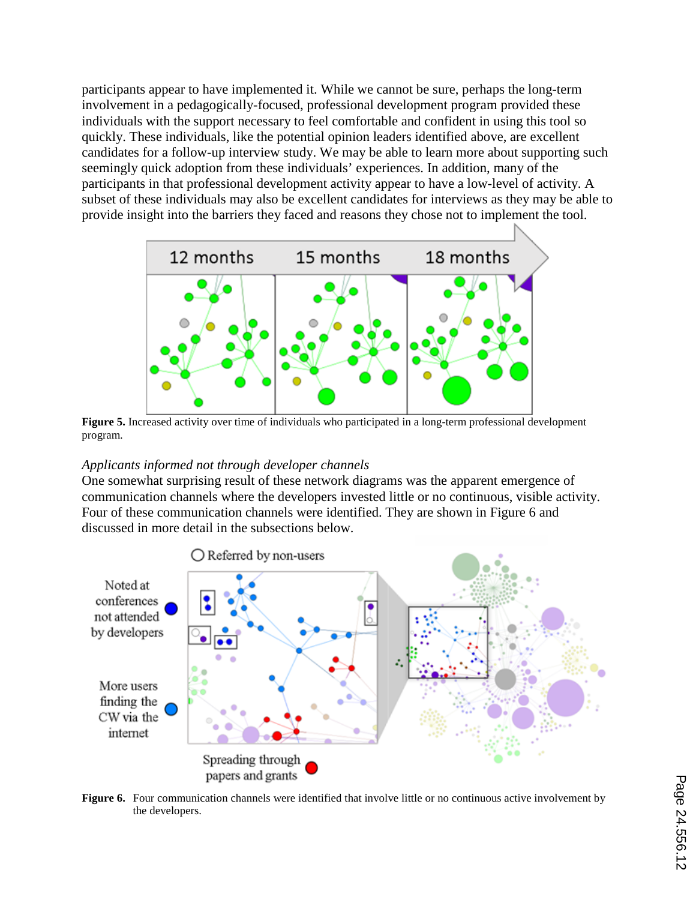participants appear to have implemented it. While we cannot be sure, perhaps the long-term involvement in a pedagogically-focused, professional development program provided these individuals with the support necessary to feel comfortable and confident in using this tool so quickly. These individuals, like the potential opinion leaders identified above, are excellent candidates for a follow-up interview study. We may be able to learn more about supporting such seemingly quick adoption from these individuals' experiences. In addition, many of the participants in that professional development activity appear to have a low-level of activity. A subset of these individuals may also be excellent candidates for interviews as they may be able to provide insight into the barriers they faced and reasons they chose not to implement the tool.



**Figure 5.** Increased activity over time of individuals who participated in a long-term professional development program.

### *Applicants informed not through developer channels*

One somewhat surprising result of these network diagrams was the apparent emergence of communication channels where the developers invested little or no continuous, visible activity. Four of these communication channels were identified. They are shown in Figure 6 and discussed in more detail in the subsections below.



**Figure 6.** Four communication channels were identified that involve little or no continuous active involvement by the developers.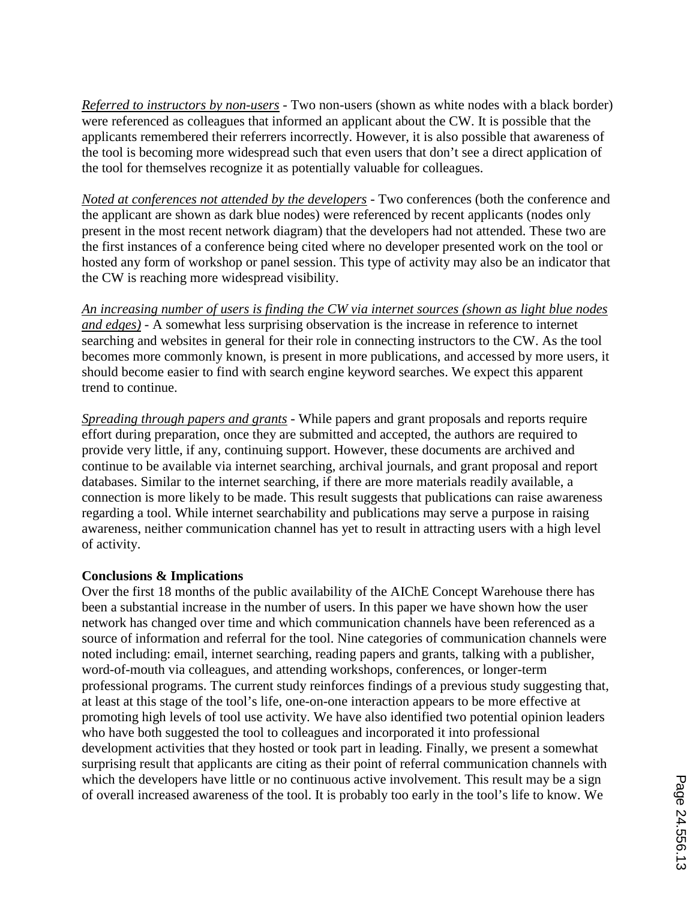*Referred to instructors by non-users* - Two non-users (shown as white nodes with a black border) were referenced as colleagues that informed an applicant about the CW. It is possible that the applicants remembered their referrers incorrectly. However, it is also possible that awareness of the tool is becoming more widespread such that even users that don't see a direct application of the tool for themselves recognize it as potentially valuable for colleagues.

*Noted at conferences not attended by the developers* - Two conferences (both the conference and the applicant are shown as dark blue nodes) were referenced by recent applicants (nodes only present in the most recent network diagram) that the developers had not attended. These two are the first instances of a conference being cited where no developer presented work on the tool or hosted any form of workshop or panel session. This type of activity may also be an indicator that the CW is reaching more widespread visibility.

*An increasing number of users is finding the CW via internet sources (shown as light blue nodes and edges)* - A somewhat less surprising observation is the increase in reference to internet searching and websites in general for their role in connecting instructors to the CW. As the tool becomes more commonly known, is present in more publications, and accessed by more users, it should become easier to find with search engine keyword searches. We expect this apparent trend to continue.

*Spreading through papers and grants* - While papers and grant proposals and reports require effort during preparation, once they are submitted and accepted, the authors are required to provide very little, if any, continuing support. However, these documents are archived and continue to be available via internet searching, archival journals, and grant proposal and report databases. Similar to the internet searching, if there are more materials readily available, a connection is more likely to be made. This result suggests that publications can raise awareness regarding a tool. While internet searchability and publications may serve a purpose in raising awareness, neither communication channel has yet to result in attracting users with a high level of activity.

### **Conclusions & Implications**

Over the first 18 months of the public availability of the AIChE Concept Warehouse there has been a substantial increase in the number of users. In this paper we have shown how the user network has changed over time and which communication channels have been referenced as a source of information and referral for the tool. Nine categories of communication channels were noted including: email, internet searching, reading papers and grants, talking with a publisher, word-of-mouth via colleagues, and attending workshops, conferences, or longer-term professional programs. The current study reinforces findings of a previous study suggesting that, at least at this stage of the tool's life, one-on-one interaction appears to be more effective at promoting high levels of tool use activity. We have also identified two potential opinion leaders who have both suggested the tool to colleagues and incorporated it into professional development activities that they hosted or took part in leading. Finally, we present a somewhat surprising result that applicants are citing as their point of referral communication channels with which the developers have little or no continuous active involvement. This result may be a sign of overall increased awareness of the tool. It is probably too early in the tool's life to know. We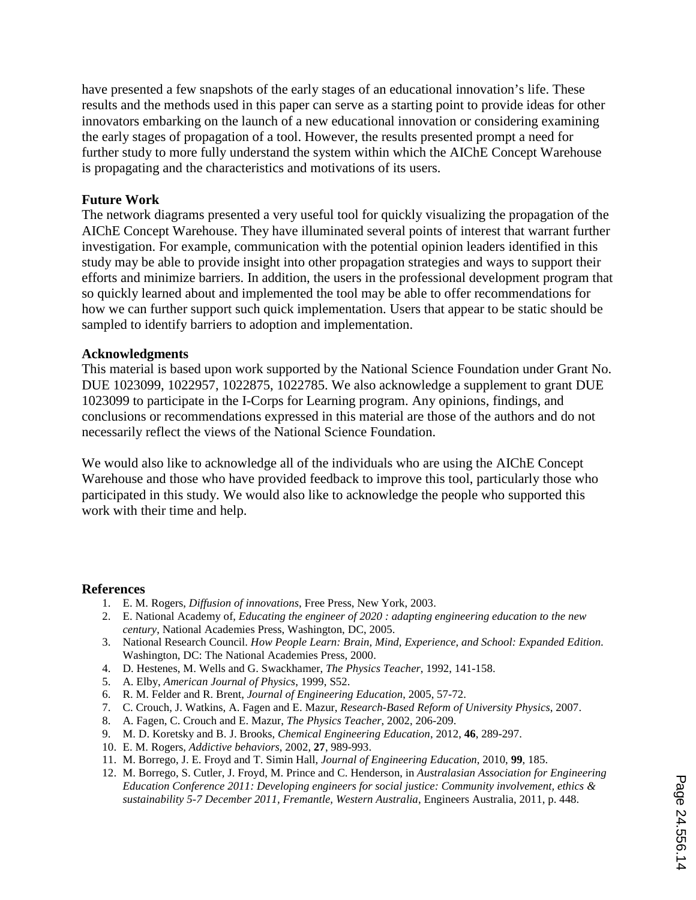have presented a few snapshots of the early stages of an educational innovation's life. These results and the methods used in this paper can serve as a starting point to provide ideas for other innovators embarking on the launch of a new educational innovation or considering examining the early stages of propagation of a tool. However, the results presented prompt a need for further study to more fully understand the system within which the AIChE Concept Warehouse is propagating and the characteristics and motivations of its users.

### **Future Work**

The network diagrams presented a very useful tool for quickly visualizing the propagation of the AIChE Concept Warehouse. They have illuminated several points of interest that warrant further investigation. For example, communication with the potential opinion leaders identified in this study may be able to provide insight into other propagation strategies and ways to support their efforts and minimize barriers. In addition, the users in the professional development program that so quickly learned about and implemented the tool may be able to offer recommendations for how we can further support such quick implementation. Users that appear to be static should be sampled to identify barriers to adoption and implementation.

### **Acknowledgments**

This material is based upon work supported by the National Science Foundation under Grant No. DUE 1023099, 1022957, 1022875, 1022785. We also acknowledge a supplement to grant DUE 1023099 to participate in the I-Corps for Learning program. Any opinions, findings, and conclusions or recommendations expressed in this material are those of the authors and do not necessarily reflect the views of the National Science Foundation.

We would also like to acknowledge all of the individuals who are using the AIChE Concept Warehouse and those who have provided feedback to improve this tool, particularly those who participated in this study. We would also like to acknowledge the people who supported this work with their time and help.

### **References**

- 1. E. M. Rogers, *Diffusion of innovations*, Free Press, New York, 2003.
- 2. E. National Academy of, *Educating the engineer of 2020 : adapting engineering education to the new century*, National Academies Press, Washington, DC, 2005.
- 3. National Research Council. *How People Learn: Brain, Mind, Experience, and School: Expanded Edition*. Washington, DC: The National Academies Press, 2000.
- 4. D. Hestenes, M. Wells and G. Swackhamer, *The Physics Teacher*, 1992, 141-158.
- 5. A. Elby, *American Journal of Physics*, 1999, S52.
- 6. R. M. Felder and R. Brent, *Journal of Engineering Education*, 2005, 57-72.
- 7. C. Crouch, J. Watkins, A. Fagen and E. Mazur, *Research-Based Reform of University Physics*, 2007.
- 8. A. Fagen, C. Crouch and E. Mazur, *The Physics Teacher*, 2002, 206-209.
- 9. M. D. Koretsky and B. J. Brooks, *Chemical Engineering Education*, 2012, **46**, 289-297.
- 10. E. M. Rogers, *Addictive behaviors*, 2002, **27**, 989-993.
- 11. M. Borrego, J. E. Froyd and T. Simin Hall, *Journal of Engineering Education*, 2010, **99**, 185.
- 12. M. Borrego, S. Cutler, J. Froyd, M. Prince and C. Henderson, in *Australasian Association for Engineering Education Conference 2011: Developing engineers for social justice: Community involvement, ethics & sustainability 5-7 December 2011, Fremantle, Western Australia*, Engineers Australia, 2011, p. 448.